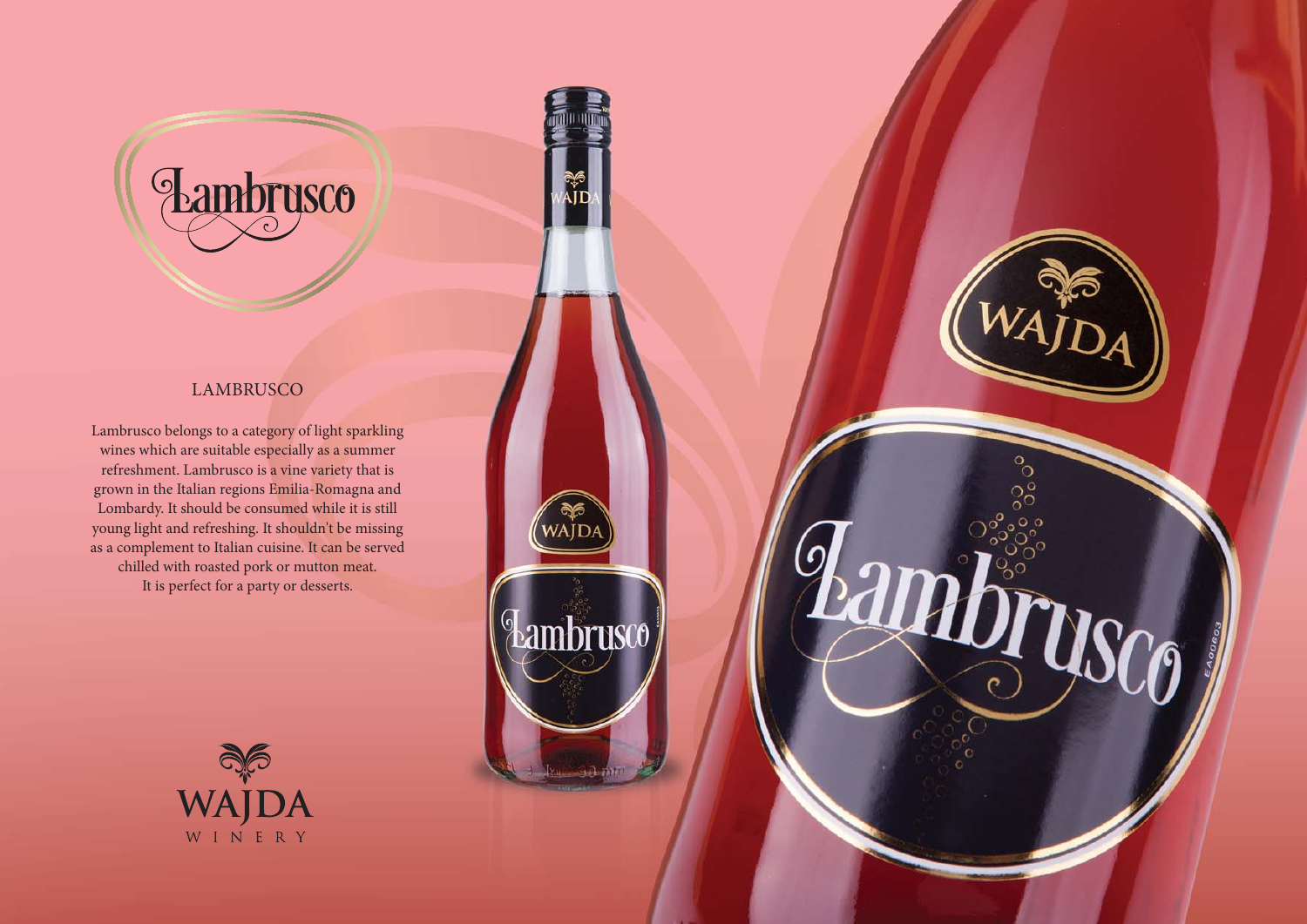

## LAMBRUSCO

Lambrusco belongs to a category of light sparkling wines which are suitable especially as a summer refreshment. Lambrusco is a vine variety that is grown in the Italian regions Emilia-Romagna and Lombardy. It should be consumed while it is still young light and refreshing. It shouldn't be missing as a complement to Italian cuisine. It can be served chilled with roasted pork or mutton meat. It is perfect for a party or desserts.





ambrusco



'n

Lambrusch